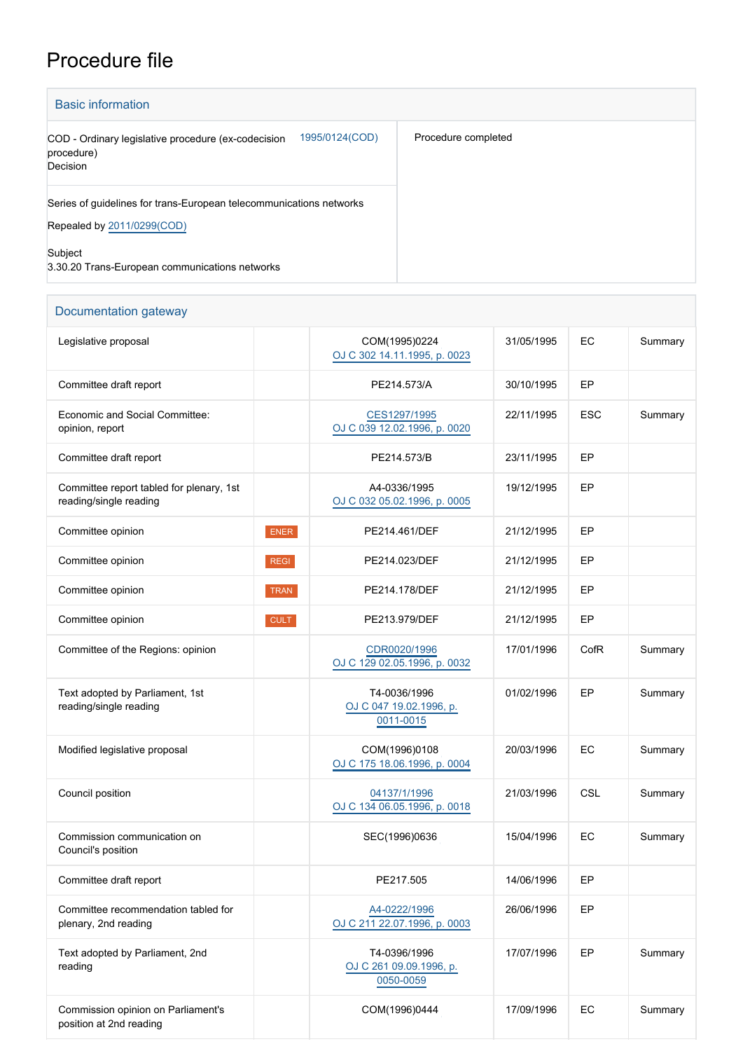## Procedure file

| <b>Basic information</b>                                                                          |                     |  |  |  |
|---------------------------------------------------------------------------------------------------|---------------------|--|--|--|
| 1995/0124(COD)<br>COD - Ordinary legislative procedure (ex-codecision<br>procedure)<br>Decision   | Procedure completed |  |  |  |
| Series of guidelines for trans-European telecommunications networks<br>Repealed by 2011/0299(COD) |                     |  |  |  |
| Subject<br>3.30.20 Trans-European communications networks                                         |                     |  |  |  |

| Documentation gateway                                              |             |                                                      |            |            |         |  |
|--------------------------------------------------------------------|-------------|------------------------------------------------------|------------|------------|---------|--|
| Legislative proposal                                               |             | COM(1995)0224<br>OJ C 302 14.11.1995, p. 0023        | 31/05/1995 | EC         | Summary |  |
| Committee draft report                                             |             | PE214.573/A                                          | 30/10/1995 | EP         |         |  |
| Economic and Social Committee:<br>opinion, report                  |             | CES1297/1995<br>OJ C 039 12.02.1996, p. 0020         | 22/11/1995 | <b>ESC</b> | Summary |  |
| Committee draft report                                             |             | PE214.573/B                                          | 23/11/1995 | EP         |         |  |
| Committee report tabled for plenary, 1st<br>reading/single reading |             | A4-0336/1995<br>OJ C 032 05.02.1996, p. 0005         | 19/12/1995 | EP         |         |  |
| Committee opinion                                                  | <b>ENER</b> | PE214.461/DEF                                        | 21/12/1995 | EP         |         |  |
| Committee opinion                                                  | <b>REGI</b> | PE214.023/DEF                                        | 21/12/1995 | EP         |         |  |
| Committee opinion                                                  | <b>TRAN</b> | PE214.178/DEF                                        | 21/12/1995 | EP         |         |  |
| Committee opinion                                                  | <b>CULT</b> | PE213.979/DEF                                        | 21/12/1995 | EP         |         |  |
| Committee of the Regions: opinion                                  |             | CDR0020/1996<br>OJ C 129 02.05.1996, p. 0032         | 17/01/1996 | CofR       | Summary |  |
| Text adopted by Parliament, 1st<br>reading/single reading          |             | T4-0036/1996<br>OJ C 047 19.02.1996, p.<br>0011-0015 | 01/02/1996 | EP         | Summary |  |
| Modified legislative proposal                                      |             | COM(1996)0108<br>OJ C 175 18.06.1996, p. 0004        | 20/03/1996 | EC         | Summary |  |
| Council position                                                   |             | 04137/1/1996<br>OJ C 134 06.05.1996, p. 0018         | 21/03/1996 | CSL        | Summary |  |
| Commission communication on<br>Council's position                  |             | SEC(1996)0636                                        | 15/04/1996 | EC         | Summary |  |
| Committee draft report                                             |             | PE217.505                                            | 14/06/1996 | EP         |         |  |
| Committee recommendation tabled for<br>plenary, 2nd reading        |             | A4-0222/1996<br>OJ C 211 22.07.1996, p. 0003         | 26/06/1996 | EP         |         |  |
| Text adopted by Parliament, 2nd<br>reading                         |             | T4-0396/1996<br>OJ C 261 09.09.1996, p.<br>0050-0059 | 17/07/1996 | EP         | Summary |  |
| Commission opinion on Parliament's<br>position at 2nd reading      |             | COM(1996)0444                                        | 17/09/1996 | EC         | Summary |  |